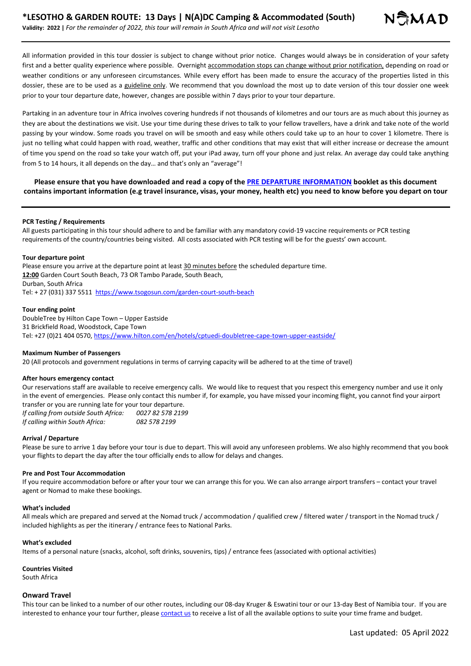All information provided in this tour dossier is subject to change without prior notice. Changes would always be in consideration of your safety first and a better quality experience where possible. Overnight accommodation stops can change without prior notification, depending on road or weather conditions or any unforeseen circumstances. While every effort has been made to ensure the accuracy of the properties listed in this dossier, these are to be used as a guideline only. We recommend that you download the most up to date version of this tour dossier one week prior to your tour departure date, however, changes are possible within 7 days prior to your tour departure.

Partaking in an adventure tour in Africa involves covering hundreds if not thousands of kilometres and our tours are as much about this journey as they are about the destinations we visit. Use your time during these drives to talk to your fellow travellers, have a drink and take note of the world passing by your window. Some roads you travel on will be smooth and easy while others could take up to an hour to cover 1 kilometre. There is just no telling what could happen with road, weather, traffic and other conditions that may exist that will either increase or decrease the amount of time you spend on the road so take your watch off, put your iPad away, turn off your phone and just relax. An average day could take anything from 5 to 14 hours, it all depends on the day… and that's only an "average"!

**Please ensure that you have downloaded and read a copy of the PRE DEPARTURE INFORMATION booklet as this document contains important information (e.g travel insurance, visas, your money, health etc) you need to know before you depart on tour**

#### **PCR Testing / Requirements**

All guests participating in this tour should adhere to and be familiar with any mandatory covid-19 vaccine requirements or PCR testing requirements of the country/countries being visited. All costs associated with PCR testing will be for the guests' own account.

#### **Tour departure point**

Please ensure you arrive at the departure point at least 30 minutes before the scheduled departure time. **12:00** Garden Court South Beach, 73 OR Tambo Parade, South Beach, Durban, South Africa Tel: + 27 (031) 337 5511 https://www.tsogosun.com/garden-court-south-beach

#### **Tour ending point**

DoubleTree by Hilton Cape Town – Upper Eastside 31 Brickfield Road, Woodstock, Cape Town Tel: +27 (0)21 404 0570, https://www.hilton.com/en/hotels/cptuedi-doubletree-cape-town-upper-eastside/

#### **Maximum Number of Passengers**

20 (All protocols and government regulations in terms of carrying capacity will be adhered to at the time of travel)

#### **After hours emergency contact**

Our reservations staff are available to receive emergency calls. We would like to request that you respect this emergency number and use it only in the event of emergencies. Please only contact this number if, for example, you have missed your incoming flight, you cannot find your airport transfer or you are running late for your tour departure.

*If calling from outside South Africa: 0027 82 578 2199 If calling within South Africa: 082 578 2199*

#### **Arrival / Departure**

Please be sure to arrive 1 day before your tour is due to depart. This will avoid any unforeseen problems. We also highly recommend that you book your flights to depart the day after the tour officially ends to allow for delays and changes.

#### **Pre and Post Tour Accommodation**

If you require accommodation before or after your tour we can arrange this for you. We can also arrange airport transfers – contact your travel agent or Nomad to make these bookings.

#### **What's included**

All meals which are prepared and served at the Nomad truck / accommodation / qualified crew / filtered water / transport in the Nomad truck / included highlights as per the itinerary / entrance fees to National Parks.

#### **What's excluded**

Items of a personal nature (snacks, alcohol, soft drinks, souvenirs, tips) / entrance fees (associated with optional activities)

# **Countries Visited**

South Africa

#### **Onward Travel**

This tour can be linked to a number of our other routes, including our 08-day Kruger & Eswatini tour or our 13-day Best of Namibia tour. If you are interested to enhance your tour further, please contact us to receive a list of all the available options to suite your time frame and budget.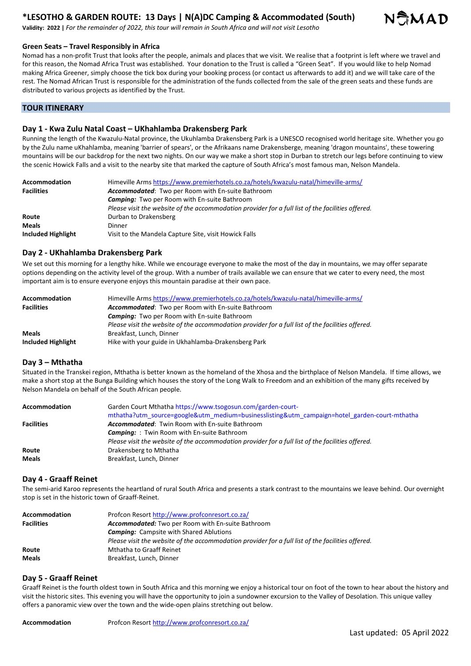# **\*LESOTHO & GARDEN ROUTE: 13 Days | N(A)DC Camping & Accommodated (South)**



**Validity: 2022 |** *For the remainder of 2022, this tour will remain in South Africa and will not visit Lesotho*

#### **Green Seats – Travel Responsibly in Africa**

Nomad has a non-profit Trust that looks after the people, animals and places that we visit. We realise that a footprint is left where we travel and for this reason, the Nomad Africa Trust was established. Your donation to the Trust is called a "Green Seat". If you would like to help Nomad making Africa Greener, simply choose the tick box during your booking process (or contact us afterwards to add it) and we will take care of the rest. The Nomad African Trust is responsible for the administration of the funds collected from the sale of the green seats and these funds are distributed to various projects as identified by the Trust.

#### **TOUR ITINERARY**

## **Day 1 - Kwa Zulu Natal Coast – UKhahlamba Drakensberg Park**

Running the length of the Kwazulu-Natal province, the Ukuhlamba Drakensberg Park is a UNESCO recognised world heritage site. Whether you go by the Zulu name uKhahlamba, meaning 'barrier of spears', or the Afrikaans name Drakensberge, meaning 'dragon mountains', these towering mountains will be our backdrop for the next two nights. On our way we make a short stop in Durban to stretch our legs before continuing to view the scenic Howick Falls and a visit to the nearby site that marked the capture of South Africa's most famous man, Nelson Mandela.

| Accommodation      | Himeville Arms https://www.premierhotels.co.za/hotels/kwazulu-natal/himeville-arms/               |
|--------------------|---------------------------------------------------------------------------------------------------|
| <b>Facilities</b>  | <b>Accommodated:</b> Two per Room with En-suite Bathroom                                          |
|                    | <b>Camping:</b> Two per Room with En-suite Bathroom                                               |
|                    | Please visit the website of the accommodation provider for a full list of the facilities offered. |
| Route              | Durban to Drakensberg                                                                             |
| <b>Meals</b>       | Dinner                                                                                            |
| Included Highlight | Visit to the Mandela Capture Site, visit Howick Falls                                             |

### **Day 2 - UKhahlamba Drakensberg Park**

We set out this morning for a lengthy hike. While we encourage everyone to make the most of the day in mountains, we may offer separate options depending on the activity level of the group. With a number of trails available we can ensure that we cater to every need, the most important aim is to ensure everyone enjoys this mountain paradise at their own pace.

| <b>Accommodation</b> | Himeville Arms https://www.premierhotels.co.za/hotels/kwazulu-natal/himeville-arms/               |
|----------------------|---------------------------------------------------------------------------------------------------|
| <b>Facilities</b>    | <b>Accommodated:</b> Two per Room with En-suite Bathroom                                          |
|                      | <b>Camping:</b> Two per Room with En-suite Bathroom                                               |
|                      | Please visit the website of the accommodation provider for a full list of the facilities offered. |
| <b>Meals</b>         | Breakfast, Lunch, Dinner                                                                          |
| Included Highlight   | Hike with your guide in Ukhahlamba-Drakensberg Park                                               |

#### **Day 3 – Mthatha**

Situated in the Transkei region, Mthatha is better known as the homeland of the Xhosa and the birthplace of Nelson Mandela. If time allows, we make a short stop at the Bunga Building which houses the story of the Long Walk to Freedom and an exhibition of the many gifts received by Nelson Mandela on behalf of the South African people.

| Accommodation     | Garden Court Mthatha https://www.tsogosun.com/garden-court-<br>mthatha?utm_source=google&utm_medium=businesslisting&utm_campaign=hotel_garden-court-mthatha |
|-------------------|-------------------------------------------------------------------------------------------------------------------------------------------------------------|
| <b>Facilities</b> | <b>Accommodated:</b> Twin Room with En-suite Bathroom                                                                                                       |
|                   | <b>Camping:</b> : Twin Room with En-suite Bathroom                                                                                                          |
|                   | Please visit the website of the accommodation provider for a full list of the facilities offered.                                                           |
| Route             | Drakensberg to Mthatha                                                                                                                                      |
| <b>Meals</b>      | Breakfast, Lunch, Dinner                                                                                                                                    |

## **Day 4 - Graaff Reinet**

The semi-arid Karoo represents the heartland of rural South Africa and presents a stark contrast to the mountains we leave behind. Our overnight stop is set in the historic town of Graaff-Reinet.

| Accommodation     | Profcon Resort http://www.profconresort.co.za/                                                    |
|-------------------|---------------------------------------------------------------------------------------------------|
| <b>Facilities</b> | <b>Accommodated:</b> Two per Room with En-suite Bathroom                                          |
|                   | <b>Camping:</b> Campsite with Shared Ablutions                                                    |
|                   | Please visit the website of the accommodation provider for a full list of the facilities offered. |
| Route             | Mthatha to Graaff Reinet                                                                          |
| <b>Meals</b>      | Breakfast, Lunch, Dinner                                                                          |

## **Day 5 - Graaff Reinet**

Graaff Reinet is the fourth oldest town in South Africa and this morning we enjoy a historical tour on foot of the town to hear about the history and visit the historic sites. This evening you will have the opportunity to join a sundowner excursion to the Valley of Desolation. This unique valley offers a panoramic view over the town and the wide-open plains stretching out below.

**Accommodation** Profcon Resort http://www.profconresort.co.za/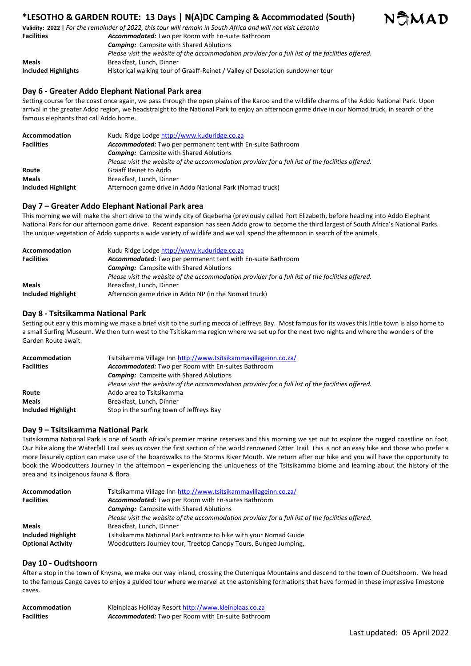# **\*LESOTHO & GARDEN ROUTE: 13 Days | N(A)DC Camping & Accommodated (South)**



**Validity: 2022 |** *For the remainder of 2022, this tour will remain in South Africa and will not visit Lesotho* **Facilities** *Accommodated:* Two per Room with En-suite Bathroom *Camping:* Campsite with Shared Ablutions *Please visit the website of the accommodation provider for a full list of the facilities offered.*  **Meals** Breakfast, Lunch, Dinner **Included Highlights** Historical walking tour of Graaff-Reinet / Valley of Desolation sundowner tour

# **Day 6 - Greater Addo Elephant National Park area**

Setting course for the coast once again, we pass through the open plains of the Karoo and the wildlife charms of the Addo National Park. Upon arrival in the greater Addo region, we headstraight to the National Park to enjoy an afternoon game drive in our Nomad truck, in search of the famous elephants that call Addo home.

| <b>Accommodation</b> | Kudu Ridge Lodge http://www.kuduridge.co.za                                                       |
|----------------------|---------------------------------------------------------------------------------------------------|
| <b>Facilities</b>    | <b>Accommodated:</b> Two per permanent tent with En-suite Bathroom                                |
|                      | <b>Camping:</b> Campsite with Shared Ablutions                                                    |
|                      | Please visit the website of the accommodation provider for a full list of the facilities offered. |
| Route                | <b>Graaff Reinet to Addo</b>                                                                      |
| <b>Meals</b>         | Breakfast, Lunch, Dinner                                                                          |
| Included Highlight   | Afternoon game drive in Addo National Park (Nomad truck)                                          |

## **Day 7 – Greater Addo Elephant National Park area**

This morning we will make the short drive to the windy city of Gqeberha (previously called Port Elizabeth, before heading into Addo Elephant National Park for our afternoon game drive. Recent expansion has seen Addo grow to become the third largest of South Africa's National Parks. The unique vegetation of Addo supports a wide variety of wildlife and we will spend the afternoon in search of the animals.

| <b>Accommodation</b> | Kudu Ridge Lodge http://www.kuduridge.co.za                                                       |
|----------------------|---------------------------------------------------------------------------------------------------|
| <b>Facilities</b>    | Accommodated: Two per permanent tent with En-suite Bathroom                                       |
|                      | <b>Camping:</b> Campsite with Shared Ablutions                                                    |
|                      | Please visit the website of the accommodation provider for a full list of the facilities offered. |
| <b>Meals</b>         | Breakfast, Lunch, Dinner                                                                          |
| Included Highlight   | Afternoon game drive in Addo NP (in the Nomad truck)                                              |

## **Day 8 - Tsitsikamma National Park**

Setting out early this morning we make a brief visit to the surfing mecca of Jeffreys Bay. Most famous for its waves this little town is also home to a small Surfing Museum. We then turn west to the Tsitiskamma region where we set up for the next two nights and where the wonders of the Garden Route await.

| <b>Accommodation</b> | Tsitsikamma Village Inn http://www.tsitsikammavillageinn.co.za/                                   |
|----------------------|---------------------------------------------------------------------------------------------------|
| <b>Facilities</b>    | Accommodated: Two per Room with En-suites Bathroom                                                |
|                      | <b>Camping:</b> Campsite with Shared Ablutions                                                    |
|                      | Please visit the website of the accommodation provider for a full list of the facilities offered. |
| Route                | Addo area to Tsitsikamma                                                                          |
| <b>Meals</b>         | Breakfast, Lunch, Dinner                                                                          |
| Included Highlight   | Stop in the surfing town of Jeffreys Bay                                                          |

## **Day 9 – Tsitsikamma National Park**

Tsitsikamma National Park is one of South Africa's premier marine reserves and this morning we set out to explore the rugged coastline on foot. Our hike along the Waterfall Trail sees us cover the first section of the world renowned Otter Trail. This is not an easy hike and those who prefer a more leisurely option can make use of the boardwalks to the Storms River Mouth. We return after our hike and you will have the opportunity to book the Woodcutters Journey in the afternoon – experiencing the uniqueness of the Tsitsikamma biome and learning about the history of the area and its indigenous fauna & flora.

| <b>Accommodation</b>      | Tsitsikamma Village Inn http://www.tsitsikammavillageinn.co.za/                                   |
|---------------------------|---------------------------------------------------------------------------------------------------|
| <b>Facilities</b>         | <b>Accommodated:</b> Two per Room with En-suites Bathroom                                         |
|                           | <b>Camping:</b> Campsite with Shared Ablutions                                                    |
|                           | Please visit the website of the accommodation provider for a full list of the facilities offered. |
| <b>Meals</b>              | Breakfast, Lunch, Dinner                                                                          |
| <b>Included Highlight</b> | Tsitsikamma National Park entrance to hike with your Nomad Guide                                  |
| <b>Optional Activity</b>  | Woodcutters Journey tour, Treetop Canopy Tours, Bungee Jumping,                                   |

## **Day 10 - Oudtshoorn**

After a stop in the town of Knysna, we make our way inland, crossing the Outeniqua Mountains and descend to the town of Oudtshoorn. We head to the famous Cango caves to enjoy a guided tour where we marvel at the astonishing formations that have formed in these impressive limestone caves.

| <b>Accommodation</b> | Kleinplaas Holiday Resort http://www.kleinplaas.co.za    |
|----------------------|----------------------------------------------------------|
| <b>Facilities</b>    | <b>Accommodated:</b> Two per Room with En-suite Bathroom |